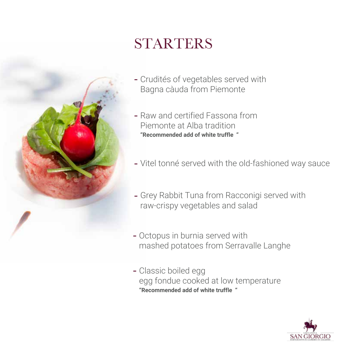

# STARTERS

- Crudités of vegetables served with Bagna càuda from Piemonte
- Raw and certified Fassona from Piemonte at Alba tradition **"Recommended add of white truffle "**
- Vitel tonné served with the old-fashioned way sauce
- Grey Rabbit Tuna from Racconigi served with raw-crispy vegetables and salad
- Octopus in burnia served with mashed potatoes from Serravalle Langhe
- Classic boiled egg egg fondue cooked at low temperature **"Recommended add of white truffle "**

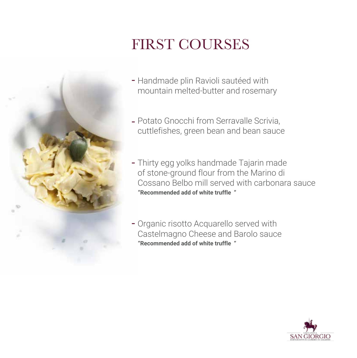

# FIRST COURSES

- Handmade plin Ravioli sautéed with mountain melted-butter and rosemary
- Potato Gnocchi from Serravalle Scrivia, cuttlefishes, green bean and bean sauce
- Thirty egg yolks handmade Tajarin made of stone-ground flour from the Marino di Cossano Belbo mill served with carbonara sauce **"Recommended add of white truffle "**
- Organic risotto Acquarello served with Castelmagno Cheese and Barolo sauce **"Recommended add of white truffle "**

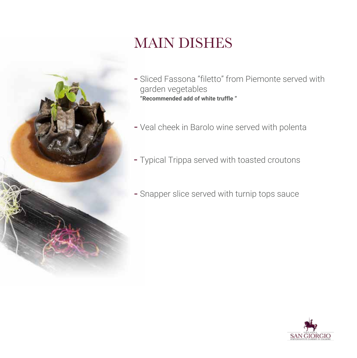

## MAIN DISHES

- Sliced Fassona "filetto" from Piemonte served with garden vegetables **"Recommended add of white truffle "**
- Veal cheek in Barolo wine served with polenta
- Typical Trippa served with toasted croutons
- Snapper slice served with turnip tops sauce

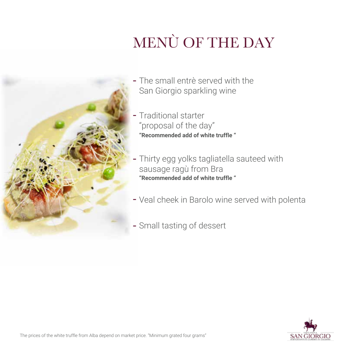# MENÙ OF THE DAY



- The small entrè served with the San Giorgio sparkling wine
- Traditional starter "proposal of the day" **"Recommended add of white truffle "**
- Thirty egg yolks tagliatella sauteed with sausage ragù from Bra **"Recommended add of white truffle "**
- Veal cheek in Barolo wine served with polenta
- Small tasting of dessert